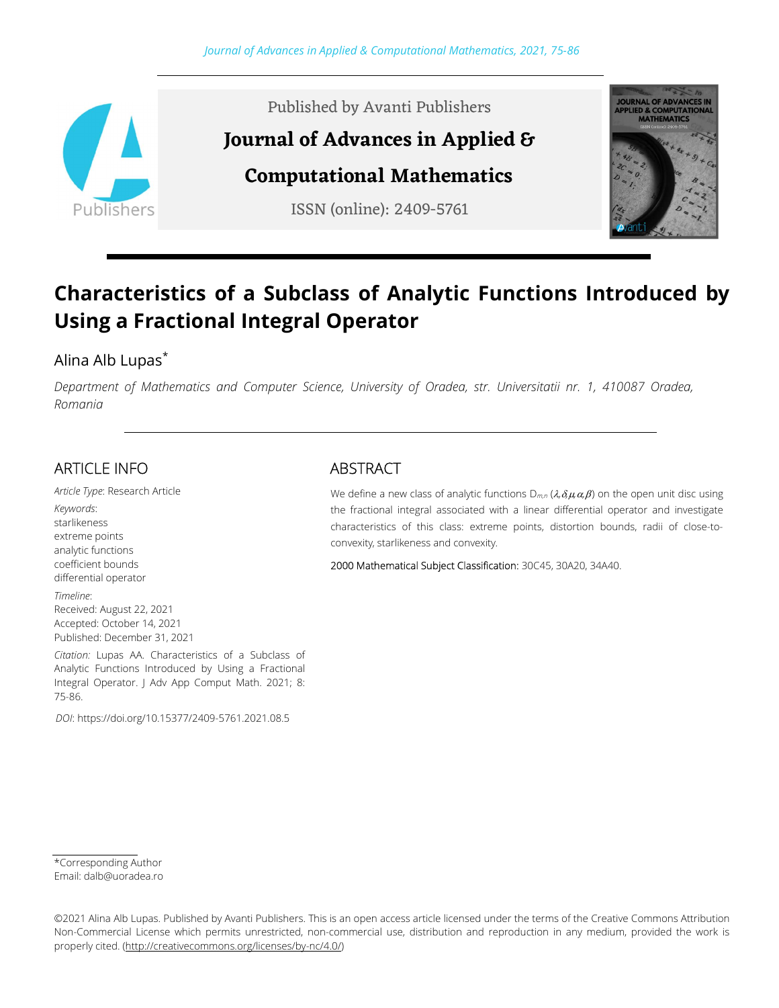

Published by Avanti Publishers

# Journal of Advances in Applied &

Computational Mathematics

ISSN (online): 2409-5761



# Characteristics of a Subclass of Analytic Functions Introduced by Using a Fractional Integral Operator

## Alina Alb Lupas\*

Department of Mathematics and Computer Science, University of Oradea, str. Universitatii nr. 1, 410087 Oradea, Romania

# ARTICLE INFO

Article Type: Research Article Keywords: starlikeness extreme points analytic functions coefficient bounds differential operator

Timeline: Received: August 22, 2021 Accepted: October 14, 2021 Published: December 31, 2021

Citation: Lupas AA. Characteristics of a Subclass of Analytic Functions Introduced by Using a Fractional Integral Operator. J Adv App Comput Math. 2021; 8: 75-86.

DOI: https://doi.org/10.15377/2409-5761.2021.08.5

### ABSTRACT

We define a new class of analytic functions  $D_{m,n}$  ( $\lambda$ , $\delta \mu \alpha$ , $\beta$ ) on the open unit disc using the fractional integral associated with a linear differential operator and investigate characteristics of this class: extreme points, distortion bounds, radii of close-toconvexity, starlikeness and convexity.

2000 Mathematical Subject Classification: 30C45, 30A20, 34A40.

<sup>\*</sup>Corresponding Author

Email: dalb@uoradea.ro

<sup>©2021</sup> Alina Alb Lupas. Published by Avanti Publishers. This is an open access article licensed under the terms of the Creative Commons Attribution Non-Commercial License which permits unrestricted, non-commercial use, distribution and reproduction in any medium, provided the work is properly cited. (http://creativecommons.org/licenses/by-nc/4.0/)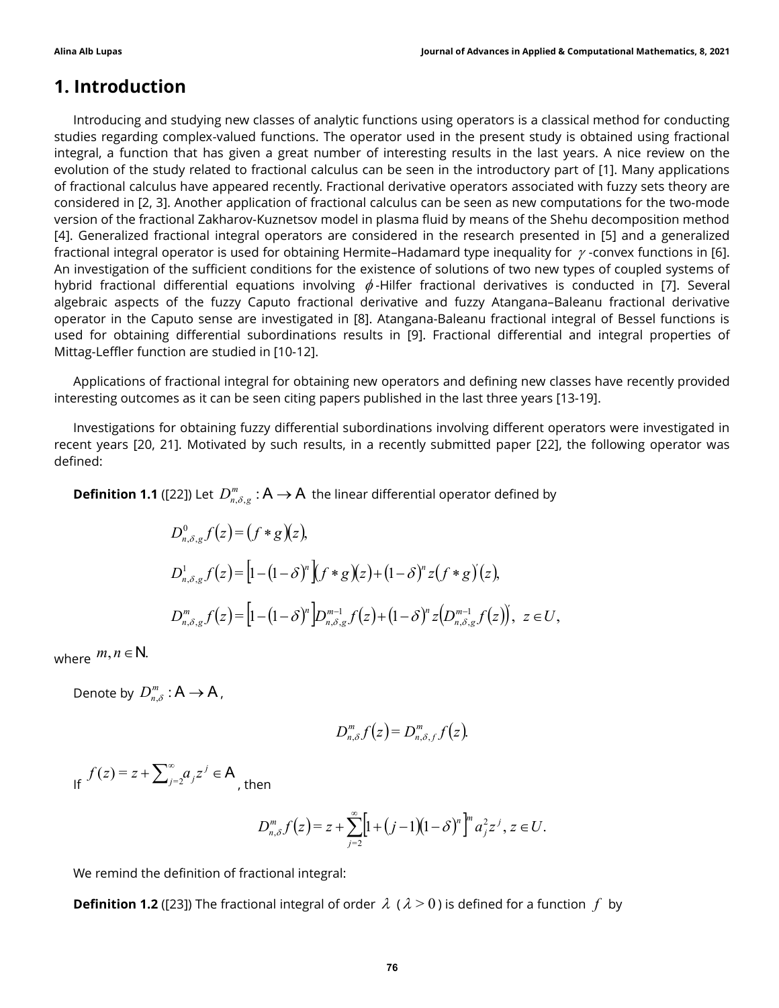## 1. Introduction

Introducing and studying new classes of analytic functions using operators is a classical method for conducting studies regarding complex-valued functions. The operator used in the present study is obtained using fractional integral, a function that has given a great number of interesting results in the last years. A nice review on the evolution of the study related to fractional calculus can be seen in the introductory part of [1]. Many applications of fractional calculus have appeared recently. Fractional derivative operators associated with fuzzy sets theory are considered in [2, 3]. Another application of fractional calculus can be seen as new computations for the two-mode version of the fractional Zakharov-Kuznetsov model in plasma fluid by means of the Shehu decomposition method [4]. Generalized fractional integral operators are considered in the research presented in [5] and a generalized fractional integral operator is used for obtaining Hermite–Hadamard type inequality for  $\gamma$ -convex functions in [6]. An investigation of the sufficient conditions for the existence of solutions of two new types of coupled systems of hybrid fractional differential equations involving  $\phi$ -Hilfer fractional derivatives is conducted in [7]. Several algebraic aspects of the fuzzy Caputo fractional derivative and fuzzy Atangana–Baleanu fractional derivative operator in the Caputo sense are investigated in [8]. Atangana-Baleanu fractional integral of Bessel functions is used for obtaining differential subordinations results in [9]. Fractional differential and integral properties of Mittag-Leffler function are studied in [10-12]. ial equations involving  $\phi$ -Hilfer fractional derivatives is conducted in [7]. Several<br>uzzy Caputo fractional derivative and fuzzy Atangana-Baleanu fractional derivative<br>see are investigated in [8]. Atangana-Baleanu frac

Applications of fractional integral for obtaining new operators and defining new classes have recently provided interesting outcomes as it can be seen citing papers published in the last three years [13-19].

Investigations for obtaining fuzzy differential subordinations involving different operators were investigated in recent years [20, 21]. Motivated by such results, in a recently submitted paper [22], the following operator was defined:

**Definition 1.1** ([22]) Let  $D^m_{n,\delta,g}$  :  $\mathsf{A} \to \mathsf{A}$  the linear differential operator defined by

[22]) Let 
$$
D_{n,\delta,g}^m
$$
: A  $\rightarrow$  A the linear differential operator defined by  
\n
$$
D_{n,\delta,g}^0 f(z) = (f * g)(z),
$$
\n
$$
D_{n,\delta,g}^1 f(z) = [1 - (1 - \delta)^n \int (f * g)(z) + (1 - \delta)^n z (f * g)(z),
$$
\n
$$
D_{n,\delta,g}^m f(z) = [1 - (1 - \delta)^n \int p_{n,\delta,g}^{m-1} f(z) + (1 - \delta)^n z (p_{n,\delta,g}^{m-1} f(z)), \ z \in U,
$$
\n
$$
\therefore A \rightarrow A,
$$
\n
$$
D_{n,\delta}^m f(z) = D_{n,\delta,f}^m f(z).
$$
\n
$$
\int_{-j=2}^{\infty} a_j z^j \in A,
$$
\nthen\n
$$
D_{n,\delta}^m f(z) = z + \sum_{j=2}^{\infty} [1 + (j-1)(1 - \delta)^n]^m a_j^2 z^j, \ z \in U.
$$
\ndefinition of fractional integral:

where  $m, n \in \mathbb{N}$ .

Denote by  $D_{n,\delta}^m : A \to A$ ,

$$
D_{n,\delta}^m f(z) = D_{n,\delta,f}^m f(z).
$$

If  $f(z) = z + \sum_{j=2}^{\infty} a_j z^j \in A$  $f(z) = z + \sum_{j=2}^{\infty} a_j z^j$ , then

$$
D_{n,\delta}^m f(z) = z + \sum_{j=2}^{\infty} \left[ 1 + (j-1)(1-\delta)^n \right]^m a_j^2 z^j, \ z \in U.
$$

We remind the definition of fractional integral:

**Definition 1.2** ([23]) The fractional integral of order  $\lambda$  ( $\lambda > 0$ ) is defined for a function f by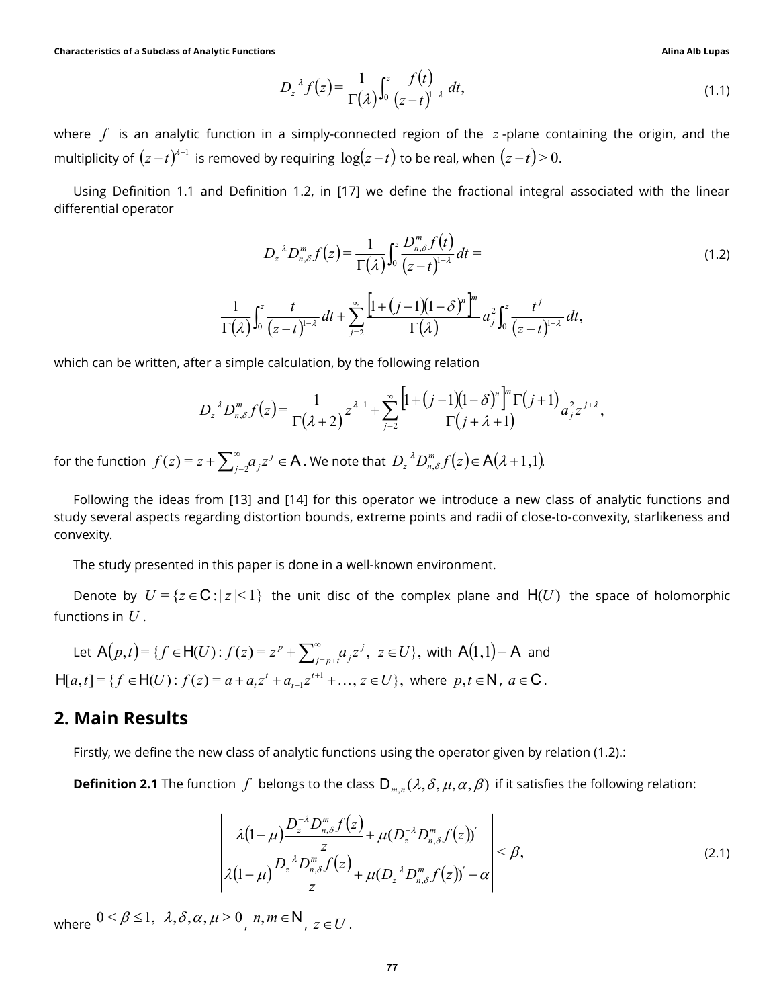$$
D_z^{-\lambda} f(z) = \frac{1}{\Gamma(\lambda)} \int_0^z \frac{f(t)}{(z-t)^{1-\lambda}} dt,
$$
\n(1.1)

Alina Alb Lupas<br>  $(z) = \frac{1}{\Gamma(\lambda)} \int_0^z \frac{f(t)}{(z-t)^{1-\lambda}} dt$ , (1.1)<br>
ply-connected region of the z-plane containing the origin, and the<br>
ring  $\log(z-t)$  to be real, when  $(z-t) > 0$ . Alina Alb Lupas<br>  $\frac{f(t)}{(z-t)^{1-\lambda}} dt$ , (1.1)<br>
I region of the z-plane containing the origin, and the<br>
to be real, when  $(z-t) > 0$ . where  $f$  is an analytic function in a simply-connected region of the  $z$ -plane containing the origin, and the multiplicity of  $(z-t)^{\lambda-1}$  is removed by requiring  $\log(z-t)$  to be real, when  $(z-t)\!>\!0.$ 

Using Definition 1.1 and Definition 1.2, in [17] we define the fractional integral associated with the linear differential operator

Functions  
\n
$$
D_z^{-\lambda} f(z) = \frac{1}{\Gamma(\lambda)} \int_0^z \frac{f(t)}{(z-t)^{1-\lambda}} dt,
$$
\n(1.1)  
\ntion in a simply-connected region of the z-plane containing the origin, and the  
\noved by requiring  $\log(z-t)$  to be real, when  $(z-t) > 0$ .  
\nDefinition 1.2, in [17] we define the fractional integral associated with the linear  
\n
$$
D_z^{-\lambda} D_{n,\delta}^m f(z) = \frac{1}{\Gamma(\lambda)} \int_0^z \frac{D_{n,\delta}^m f(t)}{(z-t)^{1-\lambda}} dt =
$$
\n(1.2)  
\n
$$
\frac{1}{(\lambda)} \int_0^z \frac{t}{(z-t)^{1-\lambda}} dt + \sum_{j=2}^\infty \frac{\left[1 + (j-1)(1-\delta)^n\right]^m}{\Gamma(\lambda)} a_j^2 \int_0^z \frac{t^j}{(z-t)^{1-\lambda}} dt,
$$
\nimple calculation, by the following relation  
\n
$$
\int_{n,\delta}^m f(z) = \frac{1}{\Gamma(\lambda+2)} z^{\lambda+1} + \sum_{j=2}^\infty \frac{\left[1 + (j-1)(1-\delta)^n\right]^m \Gamma(j+1)}{\Gamma(j+\lambda+1)} a_j^2 z^{j+\lambda},
$$
\n(2) and [14] for this operator, we introduce a now close of analytic functions and

$$
\frac{1}{\Gamma(\lambda)}\int_0^z\frac{t}{(z-t)^{1-\lambda}}\,dt+\sum_{j=2}^\infty\frac{\left[1+\left(j-1\right)\left(1-\delta\right)^n\right]^m}{\Gamma(\lambda)}\,a_j^2\int_0^z\frac{t^j}{(z-t)^{1-\lambda}}\,dt,
$$

which can be written, after a simple calculation, by the following relation

$$
D_z^{-\lambda}D_{n,\delta}^m f(z) = \frac{1}{\Gamma(\lambda+2)}z^{\lambda+1} + \sum_{j=2}^{\infty} \frac{\left[1+(j-1)(1-\delta)^n\right]^m \Gamma(j+1)}{\Gamma(j+\lambda+1)} a_j^2 z^{j+\lambda},
$$

for the function  $\,f(z)$  =  $z + \sum_{j=2}^{\infty} a_j z^j \in \mathsf{A} \,$  $f(z)=z+\sum_{j=2}^\infty\!a_jz^j\in {\mathsf A}$  . We note that  $\,D_z^{-\lambda}D_{n,\delta}^m f\big(z\big)\!\in {\mathsf A}\big(\lambda\!+\!1,\!1\big).$  $z \sim_{n}$ 

Following the ideas from [13] and [14] for this operator we introduce a new class of analytic functions and study several aspects regarding distortion bounds, extreme points and radii of close-to-convexity, starlikeness and convexity.

The study presented in this paper is done in a well-known environment.

Denote by  $U = \{z \in \mathbb{C} : |z| < 1\}$  the unit disc of the complex plane and  $H(U)$  the space of holomorphic functions in  $U$ .

Let 
$$
A(p,t) = \{f \in H(U) : f(z) = z^p + \sum_{j=p+t}^{\infty} a_j z^j, z \in U\}
$$
, with  $A(1,1) = A$  and  
\n $H[a,t] = \{f \in H(U) : f(z) = a + a_i z^i + a_{i+1} z^{i+1} + \dots, z \in U\}$ , where  $p, t \in \mathbb{N}$ ,  $a \in \mathbb{C}$ .

#### 2. Main Results

Firstly, we define the new class of analytic functions using the operator given by relation (1.2).:

**Definition 2.1** The function f belongs to the class  $D_{m,n}(\lambda,\delta,\mu,\alpha,\beta)$  if it satisfies the following relation:

1 [13] and [14] for this operator we introduce a new class of analytic functions and  
\nling distortion bounds, extreme points and radii of close-to-convexity, starlikeness and  
\nhis paper is done in a well-known environment.  
\n|z|<1} the unit disc of the complex plane and H(U) the space of holomorphic  
\n: 
$$
f(z) = z^p + \sum_{j=p+1}^{\infty} a_j z^j
$$
,  $z ∈ U$ }, with A(1,1)= A and  
\n $a + a_i z^i + a_{i+1} z^{i+1} + ..., z ∈ U$ , where  $p, t ∈ \mathbb{N}$ ,  $a ∈ \mathbb{C}$ .  
\n*u* class of analytic functions using the operator given by relation (1.2):  
\non *f* belongs to the class  $D_{m,n}(\lambda, \delta, \mu, \alpha, \beta)$  if it satisfies the following relation:  
\n
$$
\frac{\lambda(1-\mu)\frac{D_z^{-\lambda}D_{m,\delta}^m f(z)}{z} + \mu(D_z^{-\lambda}D_{n,\delta}^m f(z))}{\lambda(1-\mu)\frac{D_z^{-\lambda}D_{m,\delta}^m f(z)}{z} + \mu(D_z^{-\lambda}D_{n,\delta}^m f(z))} \beta,\n $\lambda(1-\mu)\frac{D_z^{-\lambda}D_{m,\delta}^m f(z)}{z} + \mu(D_z^{-\lambda}D_{n,\delta}^m f(z))' - \alpha$   
\n $> 0, m, m ∈ \mathbb{N}, z ∈ U$ .
$$

where  $0 < \beta \leq 1$ ,  $\lambda$ ,  $\delta$ ,  $\alpha$ ,  $\mu > 0$ ,  $n, m \in \mathbb{N}$ ,  $z \in U$ .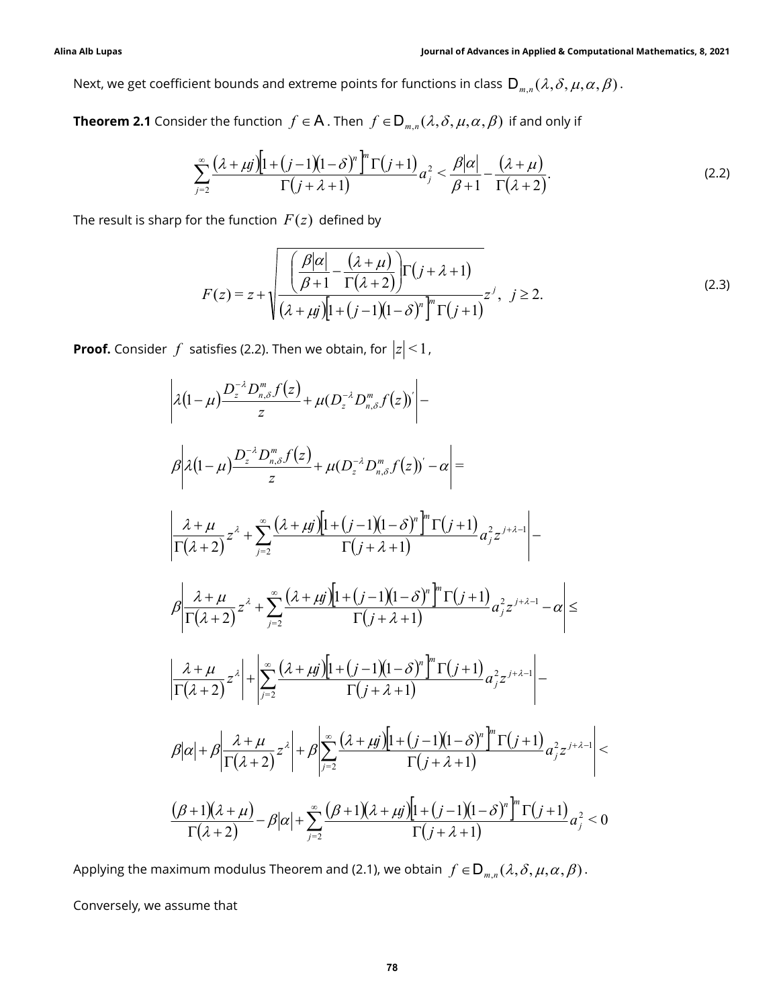Next, we get coefficient bounds and extreme points for functions in class  $D_{m,n}(\lambda, \delta, \mu, \alpha, \beta)$ .

**Theorem 2.1** Consider the function  $f \in A$  . Then  $f \in D_{m,n}(\lambda, \delta, \mu, \alpha, \beta)$  if and only if

Journal of Advances in Applied & Computational Mathematics, 8, 2021

\nent bounds and extreme points for functions in class 
$$
D_{m,n}(\lambda, \delta, \mu, \alpha, \beta)
$$
.

\nHer the function  $f \in A$ . Then  $f \in D_{m,n}(\lambda, \delta, \mu, \alpha, \beta)$  if and only if

\n
$$
\sum_{j=2}^{\infty} \frac{(\lambda + \mu j) \left[1 + (j-1)(1-\delta)^n \right]^m \Gamma(j+1)}{\Gamma(j+\lambda+1)} a_j^2 < \frac{\beta |\alpha|}{\beta+1} - \frac{(\lambda + \mu)}{\Gamma(\lambda+2)}.
$$
\nOr the function  $F(z)$  defined by

\n
$$
\boxed{\left(\begin{array}{cc}\beta |\alpha| & (\lambda + \mu)\end{array}\right)} \tag{2.2}
$$

The result is sharp for the function  $F(z)$  defined by

Journal of Advances in Applied & Computational Mathematics, 8, 2021\n\nIn the function 
$$
f \in A
$$
. Then  $f \in D_{m,n}(\lambda, \delta, \mu, \alpha, \beta)$  if and only if\n
$$
\sum_{j=2}^{n} \frac{(\lambda + \mu j)[1 + (j - 1)(1 - \delta)^n]^m \Gamma(j + 1)}{\Gamma(j + \lambda + 1)} a_j^2 < \frac{\beta |\alpha|}{\beta + 1} - \frac{(\lambda + \mu)}{\Gamma(\lambda + 2)}.
$$
\n\nThe function  $F(z)$  defined by\n
$$
F(z) = z + \sqrt{\frac{\beta |\alpha| - (\lambda + \mu)}{(\beta + 1) - \Gamma(\lambda + 2)}} \Gamma(j + \lambda + 1)
$$
\n
$$
F(z) = z + \sqrt{\frac{\beta |\alpha| - (\lambda + \mu)}{(\lambda + \mu j)[1 + (j - 1)(1 - \delta)^n]^m \Gamma(j + 1)}} z^j, \quad j \ge 2.
$$
\n\nIt is a (2.2). Then we obtain, for  $|z| < 1$ ,\n
$$
D^{-\lambda} D^m f(z)
$$

Next, we get coefficient bounds and extreme points for functions in class 
$$
D_{m,n}(\lambda, \delta, \mu, \alpha, \beta)
$$
.  
\n**Theorem 2.1** Consider the function  $f \in A$ . Then  $f \in D_{m,n}(\lambda, \delta, \mu, \alpha, \beta)$  if and only if  
\n
$$
\sum_{j=2}^{n} \frac{(\lambda + \mu)^{j} [1 + (j-1)(1-\delta)^{n} \Gamma[f+1)]}{\Gamma(j+\lambda+1)} a_{j}^{2} \times \frac{\beta |\alpha|}{\beta+1} - \frac{(\lambda + \mu)}{\Gamma(\lambda+2)}
$$
\n
$$
\text{The result is sharp for the function } F(z) \text{ defined by}
$$
\n
$$
F(z) = z + \sqrt{\frac{\beta |\alpha| - (\lambda + \mu)}{(\beta + 1) \Gamma(\lambda + 2)}} \Gamma(f+ \lambda + 1)
$$
\n
$$
F(z) = z + \sqrt{\frac{\beta |\alpha| - (\lambda + \mu)}{(\beta + 1) \Gamma(\lambda + 2)}} \Gamma(f+ \lambda + 1)
$$
\n
$$
F(z) = z + \sqrt{\frac{\beta |\alpha| - (\lambda + \mu)}{(\beta + 1) \Gamma(\lambda + 2)}} \Gamma(f+ \lambda + 1)
$$
\n
$$
2(1-\mu) \frac{D^{-\lambda} D_{m,n}^{n} f(z)}{z} + \mu(D_{\lambda}^{-\lambda} D_{m,n}^{n} f(z)) \Big| - \frac{\beta}{\pi}
$$
\n
$$
\rho | \lambda(1-\mu) \frac{D^{-\lambda} D_{m,n}^{n} f(z)}{z} + \mu(D_{\lambda}^{-\lambda} D_{m,n}^{n} f(z)) - \alpha | =
$$
\n
$$
\frac{\lambda + \mu}{\Gamma(\lambda+2)} z^{2} + \sum_{j=2}^{n} \frac{(\lambda + \mu)^{j} [1 + (j-1)(1-\delta)^{n} \Gamma(f+1)}{\Gamma(j+\lambda+1)} a_{j}^{2} z^{j+\lambda-1} - \frac{\beta}{\Gamma(\lambda+2)} z^{j+\lambda-1} \frac{\beta}{\Gamma(\lambda+2)} z^{j+\lambda-1} - \frac{\beta}{\Gamma(\lambda+2)} z^{j+\lambda-1} \frac{\beta}{\Gamma(\lambda+2)} z^{j+\lambda-1} - \frac{\beta}{\Gamma(\lambda+2)} z^{j+\lambda-1} \frac{\beta}{\Gamma(\lambda+2)} z^{j+\lambda-1} - \frac{\beta}{\Gamma(\lambda+2)} z^{j+\
$$

Applying the maximum modulus Theorem and (2.1), we obtain  $f \in D_{m,n}(\lambda, \delta, \mu, \alpha, \beta)$ .

Conversely, we assume that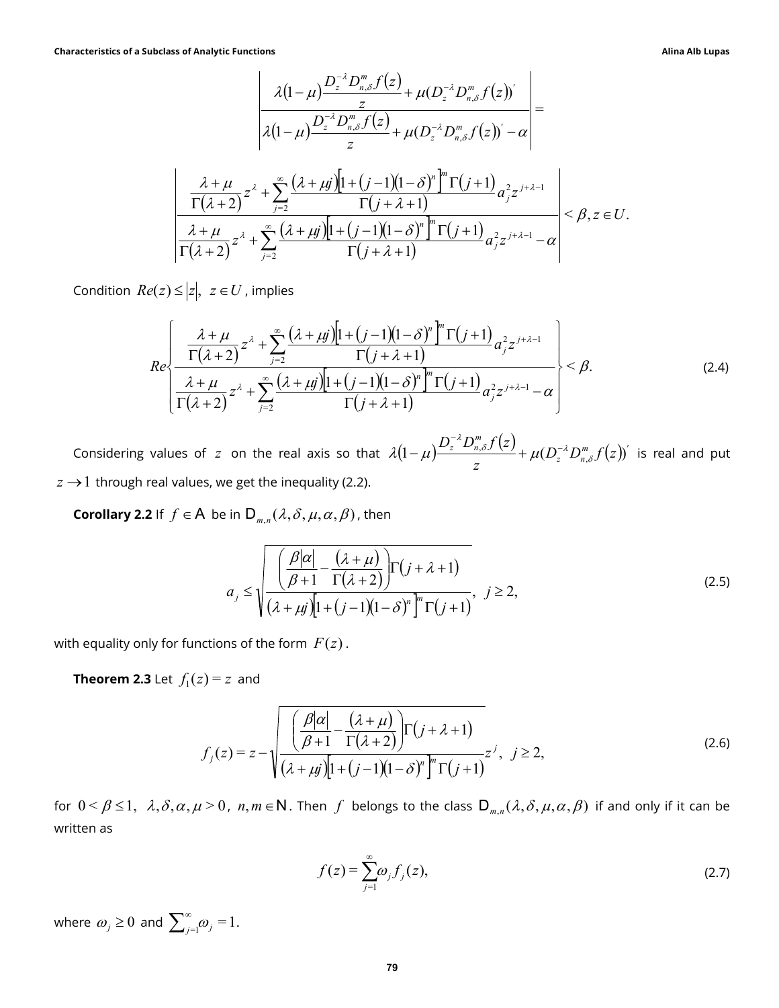racteristics of a Subclass of Analytic Functions  
\n
$$
\frac{\lambda(1-\mu)\frac{D_z^{-2}D_{n,\delta}^m f(z)}{z} + \mu(D_z^{-2}D_{n,\delta}^m f(z))'}{\lambda(1-\mu)\frac{D_z^{-2}D_{n,\delta}^m f(z)}{z} + \mu(D_z^{-2}D_{n,\delta}^m f(z))' - \alpha}
$$
\n
$$
\frac{\frac{\lambda+\mu}{\Gamma(\lambda+2)}z^{\lambda} + \sum_{j=2}^{\infty}\frac{(\lambda+\mu)^{j}[1+(\j-1)(1-\delta)^{n}]^{\frac{n}{2}}\Gamma(j+1)}{\Gamma(j+\lambda+1)}a_{j}^{2}z^{j+\lambda-1}}{\frac{\lambda+\mu}{\Gamma(\lambda+2)}z^{\lambda} + \sum_{j=2}^{\infty}\frac{(\lambda+\mu)^{j}[1+(\j-1)(1-\delta)^{n}]^{\frac{n}{2}}\Gamma(j+1)}{\Gamma(j+\lambda+1)}a_{j}^{2}z^{j+\lambda-1} - \alpha}
$$
\nCondition  $Re(z) \leq |z|, z \in U$ , implies  
\n
$$
\frac{\left(\frac{\lambda+\mu}{\Gamma(\lambda+2)}z^{\lambda} + \sum_{j=2}^{\infty}\frac{(\lambda+\mu)^{j}[1+(\j-1)(1-\delta)^{n}]^{\frac{n}{2}}\Gamma(j+1)}{\Gamma(j+\lambda+1)}a_{j}^{2}z^{j+\lambda-1}}\right)}{\frac{\lambda+\mu}{\Gamma(\lambda+2)}z^{\lambda} + \sum_{j=2}^{\infty}\frac{(\lambda+\mu)^{j}[1+(\j-1)(1-\delta)^{n}]^{\frac{n}{2}}\Gamma(j+1)}{\Gamma(j+\lambda+1)}a_{j}^{2}z^{j+\lambda-1} - \alpha}
$$
\nConsidering values of z on the real axis so that  $\lambda(1-\mu)\frac{D_z^{-2}D_{n,\delta}^m f(z)}{z} + \mu(D_z^{-2}D_{n,\delta}^m f(z))$  is real and put  
\n $\rightarrow 1$  through real values, we get the inequality (2.2).  
\nCorollary 2.2 If  $f \in A$  be in  $D_{n,\alpha}(\lambda,\delta,\mu,\alpha,\beta)$ , then

Condition  $Re(z) \le |z|, z \in U$ , implies

$$
\left| \lambda(1-\mu) \frac{D_{z}^{\infty}D_{n,\delta}^{m}f(z)}{z} + \mu(D_{z}^{\infty}D_{n,\delta}^{m}f(z))' - \alpha \right|
$$
\n
$$
\left| \frac{\lambda+\mu}{\Gamma(\lambda+2)} z^{\lambda} + \sum_{j=2}^{\infty} \frac{(\lambda+\mu j)[1+(j-1)(1-\delta)^{n} \Gamma(j+1)]}{\Gamma(j+\lambda+1)} a_{j}^{2}z^{j+\lambda-1} \right|
$$
\n
$$
\left| \frac{\lambda+\mu}{\Gamma(\lambda+2)} z^{\lambda} + \sum_{j=2}^{\infty} \frac{(\lambda+\mu j)[1+(j-1)(1-\delta)^{n} \Gamma(j+1)]}{\Gamma(j+\lambda+1)} a_{j}^{2}z^{j+\lambda-1} - \alpha \right| < \beta, z \in U.
$$
\n*e*(z)  $\leq |z|, z \in U$ , implies\n
$$
Re \left\{ \frac{\frac{\lambda+\mu}{\Gamma(\lambda+2)} z^{\lambda} + \sum_{j=2}^{\infty} \frac{(\lambda+\mu j)[1+(j-1)(1-\delta)^{n} \Gamma(j+1)]}{\Gamma(j+\lambda+1)} a_{j}^{2}z^{j+\lambda-1}}{\Gamma(j+\lambda+1)} \right\} < \beta.
$$
\n
$$
\left| \frac{\lambda+\mu}{\Gamma(\lambda+2)} z^{\lambda} + \sum_{j=2}^{\infty} \frac{(\lambda+\mu j)[1+(j-1)(1-\delta)^{n} \Gamma(j+1)]}{\Gamma(j+\lambda+1)} a_{j}^{2}z^{j+\lambda-1} - \alpha \right| < \beta.
$$
\n
$$
\left| \frac{\lambda+\mu}{\Gamma(\lambda+2)} z^{\lambda} + \sum_{j=2}^{\infty} \frac{(\lambda+\mu j)[1+(\mu-j)(1-\delta)^{n} \Gamma(j+1)]}{\Gamma(j+\lambda+1)} a_{j}^{2}z^{j+\lambda-1} - \alpha \right|
$$
\n
$$
\left| \frac{\beta|\alpha|}{\Gamma(\lambda+2)} \right| \left| \frac{\lambda+\mu}{\Gamma(\lambda+2)} \right| \left| \frac{\lambda}{\Gamma(\lambda+2)} \right| \left| \frac{\lambda}{\Gamma(\lambda+2)} \right| \left| \frac{\lambda}{\Gamma(\lambda+2)} \right| \left| \frac{\lambda}{\Gamma(\lambda+2)} \right| \left| \frac{\lambda}{\Gamma(\
$$

 $z \sim_{n}$ m  $\frac{z-D_{n,\delta}J(z)}{z}+\mu(D_z^{-\lambda}D_{n,\delta}^m f(z))$ z  $D_{\tau}^{-\lambda}D_{n,\delta}^m f(z)$  $(1-\mu)^{\frac{N-2}{2}} \frac{\sum_{n,\delta} N(\epsilon)}{N} + \mu(D_{z}^{-\lambda}D_{n,\delta}^{m}f(z))^{N}$  $\frac{\delta J}{\delta}$  +  $\mu(D_z^{-\lambda}D_{n,\delta}^m)$  $\delta J$   $(4)$   $(25-1)$ λ  $\lambda(1-\mu)\frac{D_z-D_{n,\delta}J(2)}{D_z}+\mu(D_z^{-1})$  $\overline{\phantom{a}}$  $\mu(\mu) \rightarrow z \rightarrow m, \delta J'(\mu) + \mu(D_z^{-\lambda}D_{n,\delta}^m f(z))$  is real and put  $z \rightarrow 1$  through real values, we get the inequality (2.2).

**Corollary 2.2** If  $f \in A$  be in  $D_{m,n}(\lambda, \delta, \mu, \alpha, \beta)$ , then

$$
a_j \leq \sqrt{\frac{\left(\frac{\beta|\alpha|}{\beta+1} - \frac{(\lambda+\mu)}{\Gamma(\lambda+2)}\right)\Gamma(j+\lambda+1)}{(\lambda+\mu j)[1+(j-1)(1-\delta)^n]^n \Gamma(j+1)}}, \quad j \geq 2,
$$
\n(2.5)

with equality only for functions of the form  $F(z)$ .

**Theorem 2.3** Let  $f_1(z) \equiv z$  and

$$
\frac{\mu}{1+2}z^{\lambda} + \sum_{j=2}^{N} \frac{(x+\mu y)\mu + (j-1)(1-\delta) + (1+\mu y)}{\Gamma(j+\lambda+1)} a_j^2 z^{j+\lambda-1} - \alpha
$$
\n
$$
\text{If } z \text{ on the real axis so that } \lambda(1-\mu) \frac{D_z^{-\lambda}D_{n,\delta}^m f(z)}{z} + \mu(D_z^{-\lambda}D_{n,\delta}^m f(z)) \text{ is real and put}
$$
\n
$$
\text{as, we get the inequality (2.2).}
$$
\n
$$
\lambda \text{ be in } D_{m,n}(\lambda, \delta, \mu, \alpha, \beta), \text{ then}
$$
\n
$$
a_j \le \sqrt{\frac{\left(\frac{\beta|\alpha|}{\beta+1} - \frac{(\lambda+\mu)}{\Gamma(\lambda+2)}\right) \Gamma(j+\lambda+1)}{(\lambda+\mu j)[1+(\mu-j)(1-\delta)^n]^m \Gamma(j+1)}}, \quad j \ge 2,
$$
\n
$$
\text{arctions of the form } F(z).
$$
\n
$$
\text{or} \quad \text{or} \quad F(z).
$$
\n
$$
\text{or} \quad \text{or} \quad \frac{\beta|\alpha|}{\beta+1} - \frac{(\lambda+\mu)}{\Gamma(\lambda+2)}\right) \Gamma(j+\lambda+1)
$$
\n
$$
f_j(z) = z - \sqrt{\frac{\left(\frac{\beta|\alpha|}{\beta+1} - \frac{(\lambda+\mu)}{\Gamma(\lambda+2)}\right) \Gamma(j+\lambda+1)}{(\lambda+\mu j)[1+(\mu-j)(1-\delta)^n]^m \Gamma(j+1)}} z^j, \quad j \ge 2,
$$
\n
$$
\text{or} \quad \text{or} \quad n, m \in \mathbb{N}. \text{ Then } f \text{ belongs to the class } D_{m,n}(\lambda, \delta, \mu, \alpha, \beta) \text{ if and only if it can be}
$$

for  $0 \le \beta \le 1$ ,  $\lambda$ ,  $\delta$ ,  $\alpha$ ,  $\mu > 0$ ,  $n, m \in \mathbb{N}$ . Then f belongs to the class  $D_{m,n}(\lambda, \delta, \mu, \alpha, \beta)$  if and only if it can be written as

$$
f(z) = \sum_{j=1}^{\infty} \omega_j f_j(z),
$$
\n(2.7)

where  $\omega_j \geq 0$  and  $\sum_{j=1}^{\infty} \omega_j = 1$ .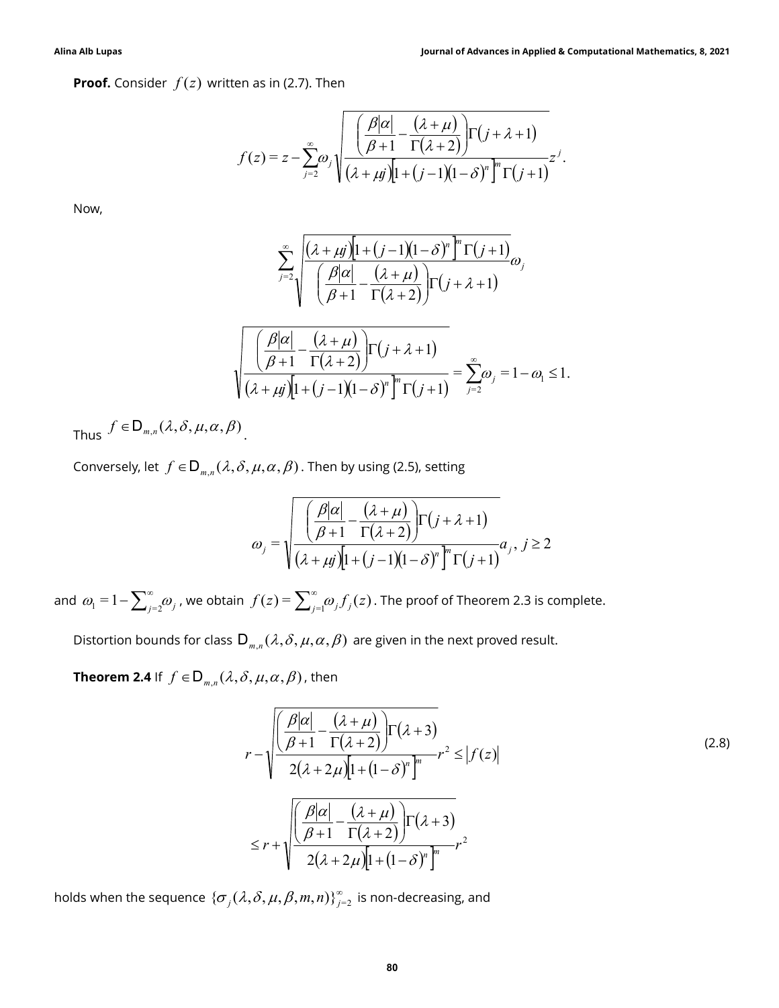**Proof.** Consider  $f(z)$  written as in (2.7). Then

Journal of Advances in Applied & Computational Mathematics, 8, 2021

\nen as in (2.7). Then

\n
$$
f(z) = z - \sum_{j=2}^{\infty} \omega_j \sqrt{\frac{\left(\frac{\beta|\alpha|}{\beta+1} - \frac{(\lambda+\mu)}{\Gamma(\lambda+2)}\right) \Gamma(j+\lambda+1)}{\left(\lambda+\mu j\right) \left[1+(j-1)(1-\delta)^n\right]^n \Gamma(j+1)}} z^j.
$$
\n
$$
\sum_{j=2}^{\infty} \sqrt{\frac{(\lambda+\mu j) \left[1+(j-1)(1-\delta)^n\right]^n \Gamma(j+1)}{\left(\frac{\beta|\alpha|}{\beta+1} - \frac{(\lambda+\mu)}{\Gamma(\lambda+2)}\right) \Gamma(j+\lambda+1)}} \omega_j
$$
\n
$$
\sqrt{\frac{\left(\frac{\beta|\alpha|}{\beta+1} - \frac{(\lambda+\mu)}{\Gamma(\lambda+2)}\right) \Gamma(j+\lambda+1)}{\left(\lambda+\mu j\right) \left[1+(j-1)(1-\delta)^n\right]^n \Gamma(j+1)}} = \sum_{j=2}^{\infty} \omega_j = 1 - \omega_1 \le 1.
$$
\n9. Show that,  $\alpha$  and  $\beta$  is the following (2.5), setting.

Now,

$$
\sum_{j=2}^{\infty} \sqrt{\frac{(\lambda + \mu j) \left[1 + (j-1)(1-\delta)^n\right]^n \Gamma(j+1)}{\left(\frac{\beta |\alpha|}{\beta + 1} - \frac{(\lambda + \mu)}{\Gamma(\lambda + 2)}\right) \Gamma(j + \lambda + 1)}} \omega_j
$$

$$
\sum_{j=2}^{\infty} \sqrt{\frac{(\lambda + \mu)^{j} [1 + (j-1)(1-\delta)^{n}]}{\mu + (j-1)(1-\delta)^{n} [1 + (j-1)]}} \omega_{j}
$$
\n
$$
\sum_{j=2}^{\infty} \sqrt{\frac{(\lambda + \mu)^{j} [1 + (j-1)(1-\delta)^{n}]}{\mu + (j-1)(1-\delta)^{n} [1 + (j-1)]}} \omega_{j}
$$
\n
$$
\sqrt{\frac{\left(\frac{\beta |\alpha|}{\beta + 1} - \frac{(\lambda + \mu)}{\Gamma(\lambda + 2)}\right) \Gamma(j + \lambda + 1)}{\left(\lambda + \mu\right) [1 + (j-1)(1-\delta)^{n} ]^n \Gamma(j+1)}} = \sum_{j=2}^{\infty} \omega_{j} = 1 - \omega_{1} \le 1.
$$
\n
$$
\beta, \mu, \alpha, \beta
$$
. Then by using (2.5), setting\n
$$
\omega_{j} = \sqrt{\frac{\left(\frac{\beta |\alpha|}{\beta + 1} - \frac{(\lambda + \mu)}{\Gamma(\lambda + 2)}\right) \Gamma(j + \lambda + 1)}{\left(\lambda + \mu\right) [1 + (j-1)(1-\delta)^{n} ]^n \Gamma(j+1)} \omega_{j}, j \ge 2}
$$
\n
$$
\sin f(z) = \sum_{j=1}^{\infty} \omega_{j} f_{j}(z). \text{ The proof of Theorem 2.3 is complete.}
$$

Thus  $f \in D_{m,n}(\lambda, \delta, \mu, \alpha, \beta)$ .

Conversely, let  $f \in D_{m,n}(\lambda, \delta, \mu, \alpha, \beta)$ . Then by using (2.5), setting

$$
\omega_j = \sqrt{\frac{\left(\frac{\beta|\alpha|}{\beta+1} - \frac{(\lambda+\mu)}{\Gamma(\lambda+2)}\right) \Gamma(j+\lambda+1)}{(\lambda+\mu j)[1+(j-1)(1-\delta)^n]^n \Gamma(j+1)} a_j, j \ge 2}
$$

and  $\omega_1 = 1 - \sum_{j=2}^{\infty} \omega_j$  , we obtain  $f(z) = \sum_{j=1}^{\infty} \omega_j f_j(z)$  . The proof of Theorem 2.3 is complete.

Distortion bounds for class  $\mathsf{D}_{m,n}(\lambda, \delta, \mu, \alpha, \beta)$  are given in the next proved result.

**Theorem 2.4** If  $f \in D_{m,n}(\lambda, \delta, \mu, \alpha, \beta)$ , then

$$
(\lambda + \mu j)[1 + (j - 1)(1 - \delta)^n] \Gamma(j + 1) \overline{\ }_{j=2}
$$
  
\n
$$
\mu, \alpha, \beta).
$$
 Then by using (2.5), setting  
\n
$$
\omega_j = \sqrt{\frac{\left(\frac{\beta|\alpha|}{\beta+1} - \frac{(\lambda+\mu)}{\Gamma(\lambda+2)}\right) \Gamma(j+\lambda+1)}{(\lambda + \mu j)[1 + (j - 1)(1 - \delta)^n]^n \Gamma(j + 1)}}, j \ge 2
$$
  
\n
$$
f(z) = \sum_{j=1}^{\infty} \omega_j f_j(z).
$$
 The proof of Theorem 2.3 is complete.  
\n
$$
\sum_{m,n} (\lambda, \delta, \mu, \alpha, \beta) \text{ are given in the next proved result.}
$$
  
\n
$$
\sum_{j=1}^{\infty} \frac{\left(\frac{\beta|\alpha|}{\beta+1} - \frac{(\lambda+\mu)}{\Gamma(\lambda+2)}\right) \Gamma(\lambda+3)}{2(\lambda+2\mu)[1 + (1 - \delta)^n]^n} r^2 \le |f(z)|
$$
  
\n
$$
\le r + \sqrt{\frac{\left(\frac{\beta|\alpha|}{\beta+1} - \frac{(\lambda+\mu)}{\Gamma(\lambda+2)}\right) \Gamma(\lambda+3)}{2(\lambda+2\mu)[1 + (1 - \delta)^n]^n} r^2}
$$
  
\n
$$
\therefore \delta, \mu, \beta, m, n \}^{\infty}_{j=2} \text{ is non-decreasing, and}
$$

holds when the sequence  $\{\sigma_{_f}(\lambda,\delta,\mu,\beta,m,n)\}_{j=2}^{\infty}$  is non-decreasing, and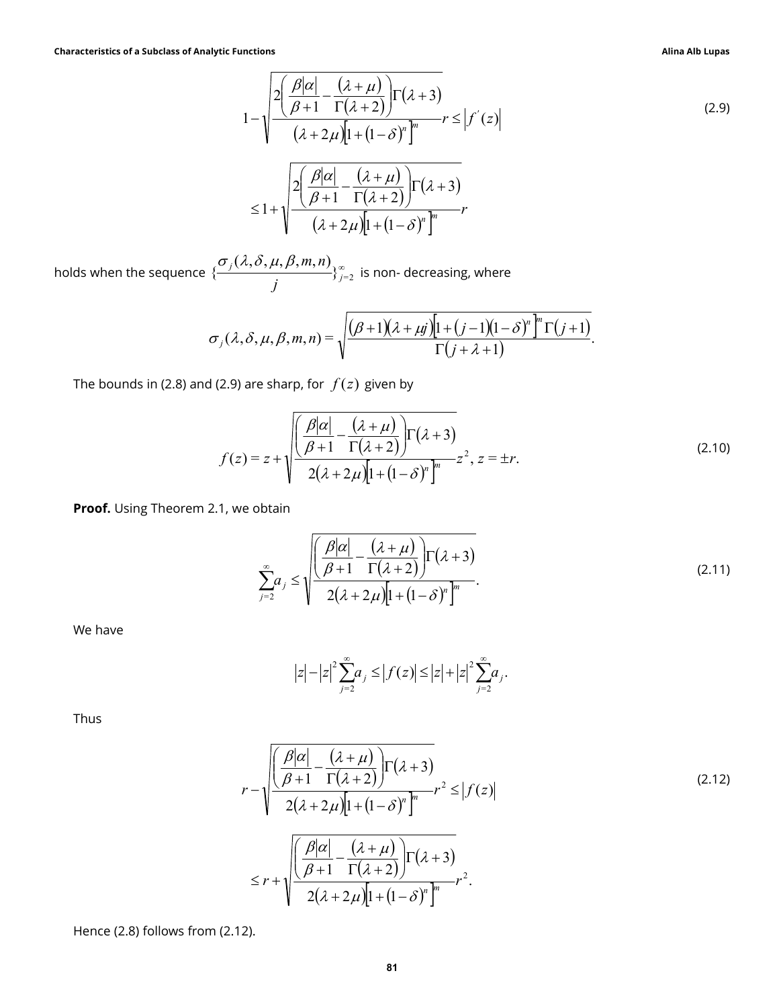$$
\begin{array}{ll}\n\text{functions} & \text{Allna Alb Lupas} \\
1 - \sqrt{\frac{2(\frac{\beta|\alpha|}{\beta+1} - \frac{(\lambda+\mu)}{\Gamma(\lambda+2)})} \Gamma(\lambda+3)} \\
1 - \sqrt{\frac{2(\frac{\beta|\alpha|}{\beta+1} - \frac{(\lambda+\mu)}{\Gamma(\lambda+2)})} \Gamma(\lambda+3)} \\
\leq 1 + \sqrt{\frac{2(\frac{\beta|\alpha|}{\beta+1} - \frac{(\lambda+\mu)}{\Gamma(\lambda+2)})} \Gamma(\lambda+3)} \\
\frac{(\lambda, \delta, \mu, \beta, m, n)}{(\lambda+2\mu) [1 + (1-\delta)^n]^n} \\
\frac{(\lambda, \delta, \mu, \beta, m, n)}{(\lambda, \delta, \mu, \beta, m, n)} \Big|_{j=2}^{\infty} & \text{is non-decreasing, where} \\
\frac{\lambda, \delta, \mu, \beta, m, n}{\Gamma(j+\lambda+1)} = \sqrt{\frac{(\beta+1)(\lambda+\mu j) [1 + (\mu - \lambda)^n]^n \Gamma(j+1)}{\Gamma(j+\lambda+1)}} \\
\text{This is the same, for } f(z) \text{ given by} \\
\frac{z}{\beta+1} - \frac{\sqrt{\frac{\beta|\alpha|}{\beta+1} - \frac{(\lambda+\mu)}{\Gamma(\lambda+2)}}}{2(\lambda+2\mu) [1 + (1-\delta)^n]^n} z^2, z = \pm r. \n\end{array} \tag{2.10}
$$

holds when the sequence  $\{\frac{O_j(x,0,\mu,p,m,n)}{p}\}_{j=2}^\infty$  $(\lambda, \delta, \mu, \beta, m, n)$  $\{\frac{\omega_j(x,0,\mu,p,m,n)}{j}\}_{j=1}^{\infty}$ j  $\sigma_i(\lambda, \delta, \mu, \beta, m, n)$ is non- decreasing, where

$$
\sigma_j(\lambda,\delta,\mu,\beta,m,n) = \sqrt{\frac{(\beta+1)(\lambda+\mu j)[1+(j-1)(1-\delta)^n]^m \Gamma(j+1)}{\Gamma(j+\lambda+1)}}.
$$

The bounds in (2.8) and (2.9) are sharp, for  $f(z)$  given by

$$
\sigma_{j}(\lambda,\delta,\mu,\beta,m,n) = \sqrt{\frac{(\beta+1)(\lambda+\mu)^{n}}{(\beta+1)(\lambda+\mu)^{n}}}
$$
\n
$$
\sigma_{j}(\lambda,\delta,\mu,\beta,m,n) = \sqrt{\frac{(\beta+1)(\lambda+\mu)^{n}(1+(\beta-1)(1-\delta)^{n})^{n}(1+(\beta+1))}{\Gamma(j+\lambda+1)}}.
$$
\n2.9) are sharp, for  $f(z)$  given by\n
$$
f(z) = z + \sqrt{\frac{\left(\frac{\beta|\alpha|}{\beta+1} - \frac{(\lambda+\mu)}{\Gamma(\lambda+2)}\right)\Gamma(\lambda+3)}{2(\lambda+2\mu)[1+(\lambda-\delta)^{n}]^{n}}}} z^{2}, z = \pm r.
$$
\n2.10)  
\n1, we obtain\n
$$
\sum_{j=2}^{\infty} a_{j} \le \sqrt{\frac{\left(\frac{\beta|\alpha|}{\beta+1} - \frac{(\lambda+\mu)}{\Gamma(\lambda+2)}\right)\Gamma(\lambda+3)}{2(\lambda+2\mu)[1+(\lambda-\delta)^{n}]^{n}}}.
$$
\n
$$
|z|-|z|^{2} \sum_{j=2}^{\infty} a_{j} \le |f(z)| \le |z|+|z|^{2} \sum_{j=2}^{\infty} a_{j}
$$
\n
$$
|z|-|z|^{2} \sum_{j=2}^{\infty} a_{j} \le |f(z)| \le |z|+|z|^{2} \sum_{j=2}^{\infty} a_{j}
$$
\n
$$
(2.11)
$$

Proof. Using Theorem 2.1, we obtain

$$
\sum_{j=2}^{\infty} a_j \le \sqrt{\frac{\left(\frac{\beta|\alpha|}{\beta+1} - \frac{(\lambda+\mu)}{\Gamma(\lambda+2)}\right)\Gamma(\lambda+3)}{2(\lambda+2\mu)\left[1+\left(1-\delta\right)^n\right]^m}}.
$$
\n(2.11)

We have

$$
|z| - |z|^2 \sum_{j=2}^{\infty} a_j \le |f(z)| \le |z| + |z|^2 \sum_{j=2}^{\infty} a_j.
$$

Thus

$$
z) = z + \sqrt{\frac{\beta |\alpha|}{\beta + 1} - \frac{(\lambda + \mu)}{\Gamma(\lambda + 2)}} \Gamma(\lambda + 3)
$$
\nwe obtain\n
$$
\sum_{j=2}^{\infty} a_j \le \sqrt{\frac{\beta |\alpha|}{\beta + 1} - \frac{(\lambda + \mu)}{\Gamma(\lambda + 2)}} \Gamma(\lambda + 3)
$$
\n
$$
\sum_{j=2}^{\infty} a_j \le \sqrt{\frac{\beta |\alpha| - (\lambda + \mu)}{\beta + 1} \Gamma(\lambda + 2)} \Gamma(\lambda + 3)
$$
\n
$$
|z| - |z|^2 \sum_{j=2}^{\infty} a_j \le |f(z)| \le |z| + |z|^2 \sum_{j=2}^{\infty} a_j.
$$
\n
$$
r - \sqrt{\frac{\beta |\alpha| - (\lambda + \mu)}{\beta + 1} \Gamma(\lambda + 2)} \Gamma(\lambda + 3)
$$
\n
$$
r - \sqrt{\frac{\beta |\alpha| - (\lambda + \mu)}{\beta + 1} \Gamma(\lambda + 2)} \Gamma(\lambda + 3)
$$
\n
$$
\le r + \sqrt{\frac{\beta |\alpha| - (\lambda + \mu)}{\beta + 1} \Gamma(\lambda + 2)} \Gamma(\lambda + 3)
$$
\n
$$
\le r + \sqrt{\frac{\beta |\alpha| - (\lambda + \mu)}{\beta + 1} \Gamma(\lambda + 2)} \Gamma(\lambda + 3)
$$
\n
$$
a_1
$$
\n
$$
a_2
$$
\n
$$
a_2
$$
\n
$$
a_2
$$

Hence (2.8) follows from (2.12).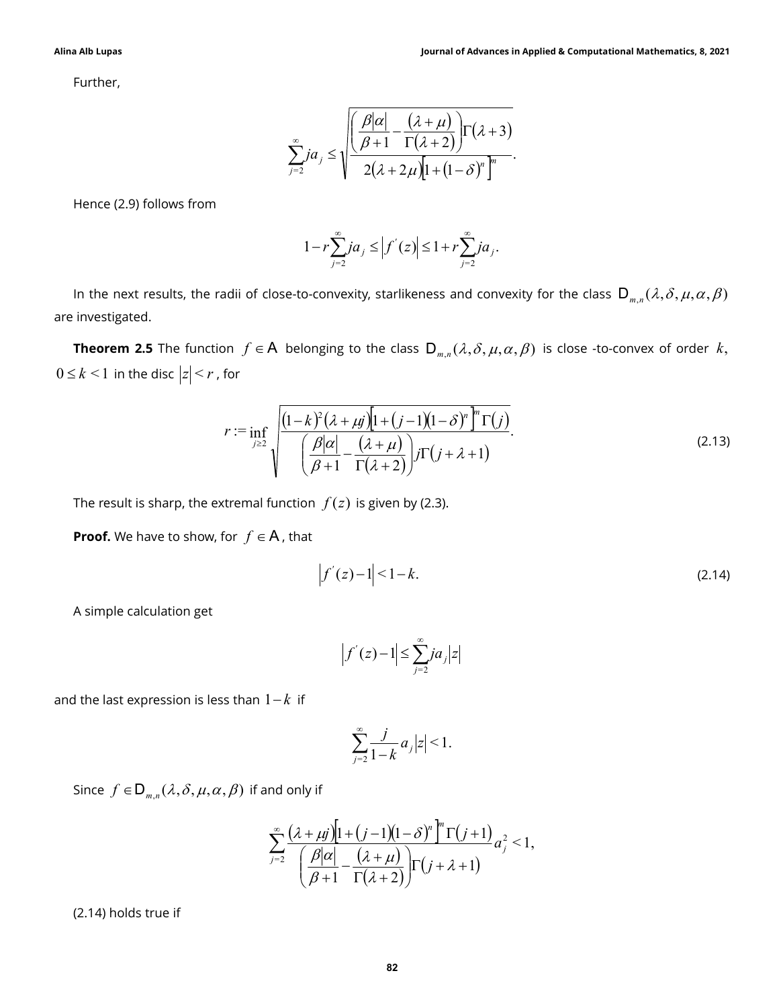Further,

Journal of Advances in Applied & Computational Mathematics, 8, 2021\n
$$
\sum_{j=2}^{\infty} ja_j \le \sqrt{\frac{\left(\frac{\beta|\alpha|}{\beta+1} - \frac{(\lambda+\mu)}{\Gamma(\lambda+2)}\right)\Gamma(\lambda+3)}{2(\lambda+2\mu)\left[1+(1-\delta)^n\right]^n}}.
$$
\n
$$
1 - r \sum_{j=1}^{\infty} ja_j < |f'(z)| < 1 + r \sum_{j=1}^{\infty} ja_j
$$

Hence (2.9) follows from

$$
1 - r \sum_{j=2}^{\infty} j a_j \le |f'(z)| \le 1 + r \sum_{j=2}^{\infty} j a_j.
$$

In the next results, the radii of close-to-convexity, starlikeness and convexity for the class  $D_{m,n}(\lambda,\delta,\mu,\alpha,\beta)$ are investigated.

**Theorem 2.5** The function  $f \in A$  belonging to the class  $D_{m,n}(\lambda, \delta, \mu, \alpha, \beta)$  is close -to-convex of order k,  $0 \leq k \leq 1$  in the disc  $|z| \leq r$ , for

$$
\sum_{j=2}^{\infty} ja_j \le \sqrt{\frac{\beta |\alpha| - (\lambda + \mu)}{\beta + 1} \Gamma(\lambda + 2)} \Gamma(\lambda + 3)
$$
\n
$$
1 - r \sum_{j=2}^{\infty} ja_j \le |f'(z)| \le 1 + r \sum_{j=2}^{\infty} ja_j.
$$
\n
$$
1 - r \sum_{j=2}^{\infty} ja_j \le |f'(z)| \le 1 + r \sum_{j=2}^{\infty} ja_j.
$$
\n
$$
1 - r \sum_{j=2}^{\infty} ja_j \le |f'(z)| \le 1 + r \sum_{j=2}^{\infty} ja_j.
$$
\n
$$
1 - r \in A
$$
\n
$$
1 - r \in A
$$
\n
$$
1 - r \in A
$$
\n
$$
1 - r \in A
$$
\n
$$
1 - r \in A
$$
\n
$$
1 - r \in A
$$
\n
$$
1 - r \in A
$$
\n
$$
1 - r \in A
$$
\n
$$
1 - r \in A
$$
\n
$$
1 - r \in A
$$
\n
$$
1 - r \in A
$$
\n
$$
1 - r \in A
$$
\n
$$
1 - r \in A
$$
\n
$$
1 - r \in A
$$
\n
$$
1 - r \in A
$$
\n
$$
1 - r \in A
$$
\n
$$
1 - r \in A
$$
\n
$$
1 - r \in A
$$
\n
$$
1 - r \in A
$$
\n
$$
1 - r \in A
$$
\n
$$
1 - r \in A
$$
\n
$$
1 - r \in A
$$
\n
$$
1 - r \in A
$$
\n
$$
1 - r \in A
$$
\n
$$
1 - r \in A
$$
\n
$$
1 - r \in A
$$
\n
$$
1 - r \in A
$$
\n
$$
1 - r \in A
$$
\n
$$
1 - r \in A
$$
\n
$$
1 - r \in A
$$
\n
$$
1 - r \in A
$$
\n
$$
1 - r \in A
$$
\n
$$
1 - r \in A
$$
\n
$$
1 - r \in A
$$

The result is sharp, the extremal function  $f(z)$  is given by (2.3).

**Proof.** We have to show, for  $f \in A$ , that

$$
\left|f'(z) - 1\right| < 1 - k. \tag{2.14}
$$

A simple calculation get

$$
\left|f'(z)-1\right|\leq \sum_{j=2}^{\infty}ja_j|z|
$$

and the last expression is less than  $1 - k$  if

$$
\sum_{j=2}^\infty \frac{j}{1-k}\,a_j\big|z\big|\leq 1.
$$

Since  $f \in D_{m,n}(\lambda, \delta, \mu, \alpha, \beta)$  if and only if

function 
$$
f(z)
$$
 is given by (2.3).  
\nA, that  
\n
$$
\left|f'(z) - 1\right| < 1 - k. \tag{2.14}
$$
\n
$$
\left|f'(z) - 1\right| \le \sum_{j=2}^{\infty} ja_j|z|
$$
\n
$$
1 - k \text{ if}
$$
\n
$$
\sum_{j=2}^{\infty} \frac{j}{1 - k} a_j|z| < 1.
$$
\nand only if  
\n
$$
\sum_{j=2}^{\infty} \frac{(\lambda + \mu j)[1 + (j - 1)(1 - \delta)^n]^n \Gamma(j + 1)}{\left(\frac{\beta |\alpha|}{\beta + 1} - \frac{(\lambda + \mu)}{\Gamma(\lambda + 2)}\right) \Gamma(j + \lambda + 1)}
$$

(2.14) holds true if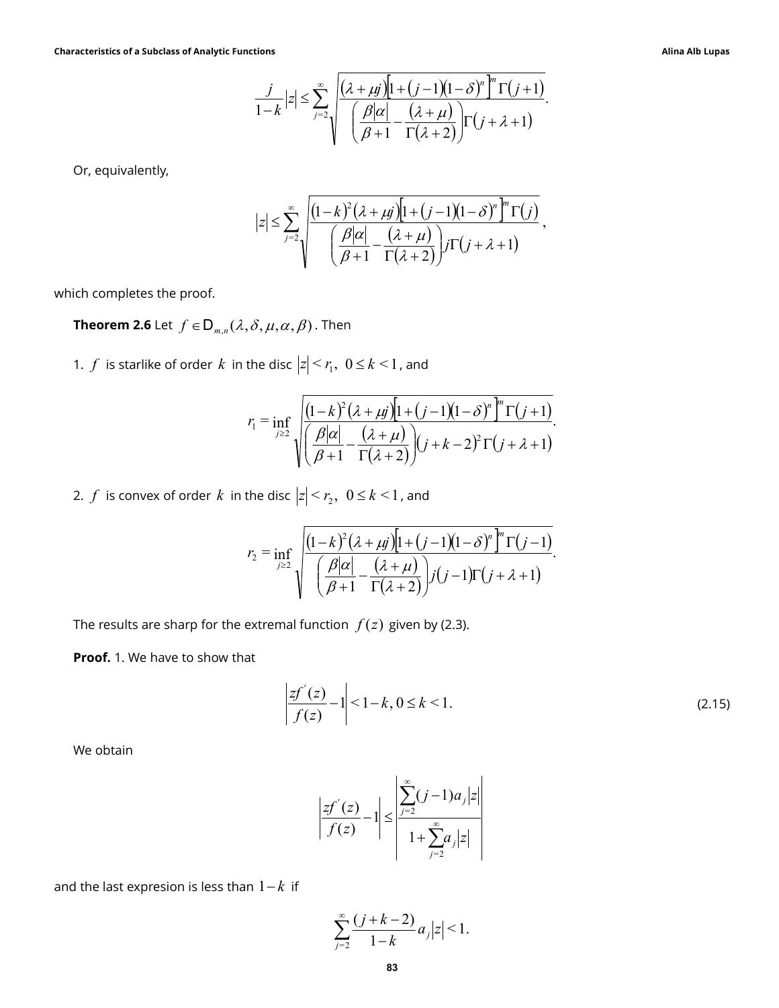Characteristics of a Subclass of Analytic Functions Alina Alb Lupas

tions  
\n
$$
\frac{j}{1-k}|z| \leq \sum_{j=2}^{\infty} \sqrt{\frac{(\lambda + \mu j)[1 + (j-1)(1-\delta)^n]^m \Gamma(j+1)}{(\frac{\beta |\alpha|}{\beta+1} - \frac{(\lambda + \mu)}{\Gamma(\lambda+2)})}}.
$$
\n
$$
|z| \leq \sum_{j=2}^{\infty} \sqrt{\frac{(1-k)^2 (\lambda + \mu j)[1 + (j-1)(1-\delta)^n]^m \Gamma(j)}{(\frac{\beta |\alpha|}{\beta+1} - \frac{(\lambda + \mu)}{\Gamma(\lambda+2)})} \frac{j \Gamma(j+\lambda+1)}{j!}
$$
\n
$$
\delta, \mu, \alpha, \beta).
$$
 Then

.

Or, equivalently,

$$
\left|z\right| \leq \sum_{j=2}^{\infty} \sqrt{\frac{\left(1-k\right)^2 \left(\lambda + \mu j\right)\left[1+\left(j-1\right)\left(1-\delta\right)^n \right]^n \Gamma(j)}{\left(\frac{\beta|\alpha|}{\beta+1} - \frac{\left(\lambda + \mu\right)}{\Gamma(\lambda+2)}\right)j\Gamma\left(j+\lambda+1\right)}},
$$

which completes the proof.

**Theorem 2.6** Let  $f \in D_{m,n}(\lambda, \delta, \mu, \alpha, \beta)$ . Then

1.  $f$  is starlike of order  $k$  in the disc  $|z| \le r_1$ ,  $0 \le k \le 1$ , and

$$
\frac{j}{1-k}|z| \leq \sum_{j=2}^{\infty} \sqrt{\frac{(\lambda + \mu)\left[1 + (j-1)(1-\delta)^n\right]^n \Gamma(j+1)}{\left(\frac{\beta|\alpha|}{\beta+1} - \frac{(\lambda+\mu)}{\Gamma(\lambda+2)}\right) \Gamma(j+\lambda+1)}}.
$$
\n
$$
|z| \leq \sum_{j=2}^{\infty} \sqrt{\frac{(1-k)^2(\lambda+\mu)\left[1 + (j-1)(1-\delta)^n\right]^n \Gamma(j)}{\left(\frac{\beta|\alpha|}{\beta+1} - \frac{(\lambda+\mu)}{\Gamma(\lambda+2)}\right) \Gamma(j+\lambda+1)}},
$$
\n
$$
\delta, \mu, \alpha, \beta) . \text{ Then}
$$
\n
$$
r_1 = \inf_{j\geq 2} \sqrt{\frac{(1-k)^2(\lambda+\mu)\left[1 + (j-1)(1-\delta)^n\right]^n \Gamma(j+1)}{\left(\frac{\beta|\alpha|}{\beta+1} - \frac{(\lambda+\mu)}{\Gamma(\lambda+2)}\right) \Gamma(j+\lambda-2)^2 \Gamma(j+\lambda+1)}}.
$$
\n
$$
r_2 = \inf_{j\geq 2} \sqrt{\frac{\left(\frac{\beta|\alpha|}{\beta+1} - \frac{(\lambda+\mu)}{\Gamma(\lambda+2)}\right) \Gamma(j+\lambda+1)}{\left(\frac{\beta|\alpha|}{\beta+1} - \frac{(\lambda+\mu)}{\Gamma(\lambda+2)}\right) \Gamma(j+\lambda+1)}}.
$$
\n
$$
r_1 = \frac{\sum_{j=2}^{\infty} \left(\frac{\beta|\alpha|}{\beta+1} - \frac{(\lambda+\mu)}{\Gamma(\lambda+2)}\right) \Gamma(j+\lambda+1)}{\Gamma(\lambda+2)}.
$$

2.  $f$  is convex of order  $k$  in the disc  $|z| \le r_2$ ,  $0 \le k \le 1$ , and

$$
|z| \leq \sum_{j=2}^{\infty} \sqrt{\frac{(1-k)^{2}(\lambda + \mu j)[1+(j-1)(1-\delta)^{n} \Gamma(y)}{\left(\frac{\beta|\alpha|}{\beta+1} - \frac{(\lambda+\mu)}{\Gamma(\lambda+2)}\right)} j\Gamma(j+\lambda+1)},
$$
  
\n
$$
\sum_{j\geq 2} \sqrt{\frac{(1-k)^{2}(\lambda+\mu j)[1+(j-1)(1-\delta)^{n} \Gamma(y+1)]}{\left(\frac{\beta|\alpha|}{\beta+1} - \frac{(\lambda+\mu)}{\Gamma(\lambda+2)}\right)} j\Gamma(j+\lambda+1)}.
$$
  
\n
$$
r_{1} = \inf_{j\geq 2} \sqrt{\frac{(1-k)^{2}(\lambda+\mu j)[1+(j-1)(1-\delta)^{n} \Gamma(y+1)]}{\left(\frac{\beta|\alpha|}{\beta+1} - \frac{(\lambda+\mu)}{\Gamma(\lambda+2)}\right)} (j+k-2)^{2} \Gamma(j+\lambda+1)}.
$$
  
\nthe disc  $|z| < r_{2}$ ,  $0 \leq k < 1$ , and  
\n
$$
r_{2} = \inf_{j\geq 2} \sqrt{\frac{(1-k)^{2}(\lambda+\mu j)[1+(j-1)(1-\delta)^{n} \Gamma(y-1)]}{\left(\frac{\beta|\alpha|}{\beta+1} - \frac{(\lambda+\mu)}{\Gamma(\lambda+2)}\right)} j(j-1)\Gamma(j+\lambda+1)}.
$$
  
\nextremal function  $f(z)$  given by (2.3).

The results are sharp for the extremal function  $f(z)$  given by (2.3).

Proof. 1. We have to show that

$$
\left| \frac{zf^{'}(z)}{f(z)} - 1 \right| < 1 - k, \, 0 \le k < 1. \tag{2.15}
$$

We obtain

$$
\left| \frac{zf^{'}(z)}{f(z)} - 1 \right| \le \left| \frac{\sum_{j=2}^{\infty} (j-1)a_j |z|}{1 + \sum_{j=2}^{\infty} a_j |z|} \right|
$$

and the last expresion is less than  $1 - k$  if

$$
\sum_{j=2}^{\infty} \frac{(j+k-2)}{1-k} a_j |z| < 1.
$$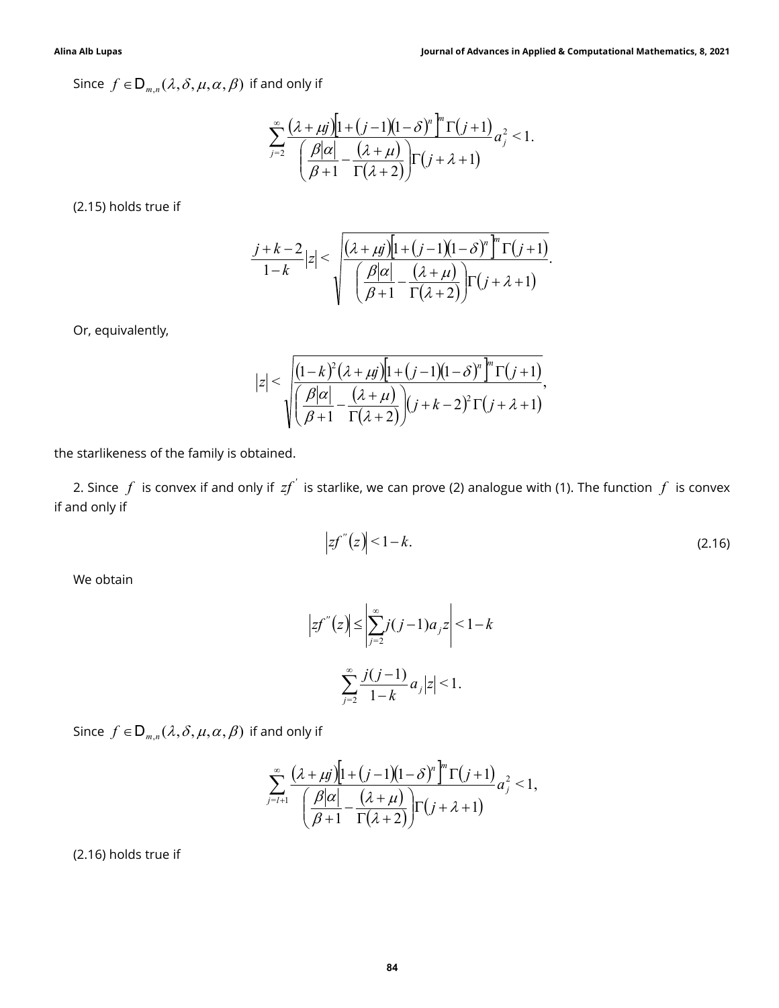Since  $f \in D_{m,n}(\lambda, \delta, \mu, \alpha, \beta)$  if and only if

Journal of Advances in Applied & Computational Mathematics, 8, 2021  
\nand only if\n
$$
\sum_{j=2}^{\infty} \frac{(\lambda + \mu j) \left[1 + (j-1)(1-\delta)^n\right]^m \Gamma(j+1)}{\left(\frac{\beta |\alpha|}{\beta + 1} - \frac{(\lambda + \mu)}{\Gamma(\lambda + 2)}\right) \Gamma(j + \lambda + 1)}
$$
\n
$$
+ k - 2, \qquad \sqrt{(2 + \mu j) \left[1 + (j-1)(1-\delta)^n\right]^m \Gamma(j+1)}
$$

(2.15) holds true if

Journal of Advances in Applied & Computational Mathematics, 8, 2021

\nif and only if

\n
$$
\sum_{j=2}^{\infty} \frac{(\lambda + \mu j) \left[1 + (j-1)(1-\delta)^n\right]^m \Gamma(j+1)}{\left(\frac{\beta |\alpha|}{\beta + 1} - \frac{(\lambda + \mu)}{\Gamma(\lambda + 2)}\right) \Gamma(j + \lambda + 1)}
$$
\n
$$
\frac{j + k - 2}{1 - k} |z| < \sqrt{\frac{(\lambda + \mu j) \left[1 + (j-1)(1-\delta)^n\right]^m \Gamma(j+1)}{\left(\frac{\beta |\alpha|}{\beta + 1} - \frac{(\lambda + \mu)}{\Gamma(\lambda + 2)}\right) \Gamma(j + \lambda + 1)}}.
$$
\n
$$
|z| < \sqrt{\frac{(1 - k)^2 (\lambda + \mu j) \left[1 + (j-1)(1-\delta)^n\right]^m \Gamma(j+1)}{\left(\frac{\beta |\alpha|}{\beta + 1} - \frac{(\lambda + \mu)}{\Gamma(\lambda + 2)}\right) (j + k - 2)^2 \Gamma(j + \lambda + 1)}},
$$
\n
$$
\text{btiained.}
$$
\nBy if  $z f'$  is starlike, we can prove (2) analogue with (1). The function  $f$  is convex.

Or, equivalently,

$$
|z| < \sqrt{\frac{(1-k)^2(\lambda+\mu j)[1+(j-1)(1-\delta)^n]^n \Gamma(j+1)}{\left(\frac{\beta|\alpha|}{\beta+1}-\frac{(\lambda+\mu)}{\Gamma(\lambda+2)}\right)} (j+k-2)^2 \Gamma(j+\lambda+1)},
$$

the starlikeness of the family is obtained.

2. Since  $f$  is convex if and only if  $zf^{'}$  is starlike, we can prove (2) analogue with (1). The function  $f$  is convex if and only if

$$
\left|zf^{''}(z)\right|<1-k.\tag{2.16}
$$

We obtain

$$
\sqrt{\left(\beta + 1\right)\left(\sqrt{2 + \mu y}\right)} \left[1 + \left(\sqrt{2 - 1}\right)\left(1 - \delta\right)^n\right]^m \Gamma(j+1)
$$
\n
$$
\sqrt{\frac{\beta |\alpha|}{\beta + 1} - \frac{(\lambda + \mu)}{\Gamma(\lambda + 2)}}\right) (j + k - 2)^2 \Gamma(j + \lambda + 1)
$$
\n
$$
\Gamma' \text{ is starlike, we can prove (2) analogue with (1). The function  $f$  is convex\n
$$
\left|zf''(z)\right| < 1 - k.
$$
\n
$$
\left|zf''(z)\right| \leq \left|\sum_{j=2}^{\infty} j(j-1)a_j z\right| < 1 - k
$$
\n
$$
\sum_{j=2}^{\infty} \frac{j(j-1)}{1 - k} a_j |z| < 1.
$$
\n
$$
\text{only if}
$$
\n
$$
\frac{(\lambda + \mu j)\left[1 + (j-1)(1 - \delta)^n\right]^m \Gamma(j+1)}{\beta + 1} a_j^2 < 1,
$$
\n
$$
\frac{\beta |\alpha|}{\beta + 1} - \frac{(\lambda + \mu)}{\Gamma(\lambda + 2)}\right) \Gamma(j + \lambda + 1)
$$
$$

Since  $f \in D_{m,n}(\lambda, \delta, \mu, \alpha, \beta)$  if and only if

$$
\sum_{j=l+1}^{\infty} \frac{(\lambda + \mu j) \left[1 + (j-1)(1-\delta)^n\right]^m \Gamma(j+1)}{\left(\frac{\beta |\alpha|}{\beta+1} - \frac{(\lambda + \mu)}{\Gamma(\lambda+2)}\right) \Gamma(j+\lambda+1)} \alpha_j^2 < 1,
$$

(2.16) holds true if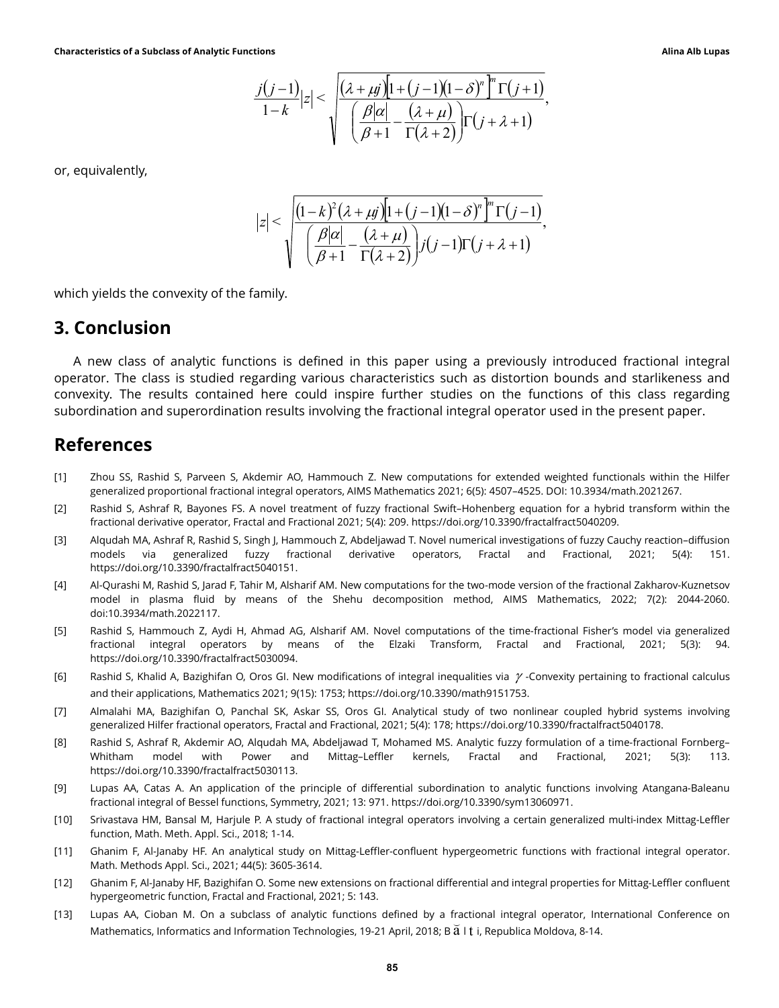tions  
\n
$$
\frac{j(j-1)}{1-k}|z| < \sqrt{\frac{(\lambda + \mu j)[1 + (j-1)(1-\delta)^n]^m \Gamma(j+1)}{\left(\frac{\beta |\alpha|}{\beta + 1} - \frac{(\lambda + \mu)}{\Gamma(\lambda + 2)}\right) \Gamma(j + \lambda + 1)}},
$$
\n
$$
|z| < \sqrt{\frac{(1-k)^2 (\lambda + \mu j)[1 + (j-1)(1-\delta)^n]^m \Gamma(j-1)}{\left(\frac{\beta |\alpha|}{\beta + 1} - \frac{(\lambda + \mu)}{\Gamma(\lambda + 2)}\right) j(j-1) \Gamma(j + \lambda + 1)}},
$$
\namily.

or, equivalently,

$$
\left|z\right| < \sqrt{\frac{\left(1-k\right)^2 \left(\lambda + \mu j\right) \left[1 + \left(j-1\right) \left(1-\delta\right)^n\right]^n \Gamma\left(j-1\right)}{\left(\frac{\beta |\alpha|}{\beta + 1} - \frac{\left(\lambda + \mu\right)}{\Gamma\left(\lambda + 2\right)}\right) j \left(j-1\right) \Gamma\left(j + \lambda + 1\right)}},
$$

which yields the convexity of the family.

#### 3. Conclusion

A new class of analytic functions is defined in this paper using a previously introduced fractional integral operator. The class is studied regarding various characteristics such as distortion bounds and starlikeness and convexity. The results contained here could inspire further studies on the functions of this class regarding subordination and superordination results involving the fractional integral operator used in the present paper.

#### References

- [1] Zhou SS, Rashid S, Parveen S, Akdemir AO, Hammouch Z. New computations for extended weighted functionals within the Hilfer generalized proportional fractional integral operators, AIMS Mathematics 2021; 6(5): 4507–4525. DOI: 10.3934/math.2021267.
- [2] Rashid S, Ashraf R, Bayones FS. A novel treatment of fuzzy fractional Swift–Hohenberg equation for a hybrid transform within the fractional derivative operator, Fractal and Fractional 2021; 5(4): 209. https://doi.org/10.3390/fractalfract5040209.
- [3] Alqudah MA, Ashraf R, Rashid S, Singh J, Hammouch Z, Abdeljawad T. Novel numerical investigations of fuzzy Cauchy reaction–diffusion models via generalized fuzzy fractional derivative operators, Fractal and Fractional, 2021; 5(4): 151. https://doi.org/10.3390/fractalfract5040151.
- [4] Al-Qurashi M, Rashid S, Jarad F, Tahir M, Alsharif AM. New computations for the two-mode version of the fractional Zakharov-Kuznetsov model in plasma fluid by means of the Shehu decomposition method, AIMS Mathematics, 2022; 7(2): 2044-2060. doi:10.3934/math.2022117.
- [5] Rashid S, Hammouch Z, Aydi H, Ahmad AG, Alsharif AM. Novel computations of the time-fractional Fisher's model via generalized fractional integral operators by means of the Elzaki Transform, Fractal and Fractional, 2021; 5(3): 94. https://doi.org/10.3390/fractalfract5030094.
- [6] Rashid S, Khalid A, Bazighifan O, Oros GI. New modifications of integral inequalities via  $\gamma$ -Convexity pertaining to fractional calculus and their applications, Mathematics 2021; 9(15): 1753; https://doi.org/10.3390/math9151753.
- [7] Almalahi MA, Bazighifan O, Panchal SK, Askar SS, Oros GI. Analytical study of two nonlinear coupled hybrid systems involving generalized Hilfer fractional operators, Fractal and Fractional, 2021; 5(4): 178; https://doi.org/10.3390/fractalfract5040178.
- [8] Rashid S, Ashraf R, Akdemir AO, Alqudah MA, Abdeljawad T, Mohamed MS. Analytic fuzzy formulation of a time-fractional Fornberg– Whitham model with Power and Mittag–Leffler kernels, Fractal and Fractional, 2021; 5(3): 113. https://doi.org/10.3390/fractalfract5030113.
- [9] Lupas AA, Catas A. An application of the principle of differential subordination to analytic functions involving Atangana-Baleanu fractional integral of Bessel functions, Symmetry, 2021; 13: 971. https://doi.org/10.3390/sym13060971.
- [10] Srivastava HM, Bansal M, Harjule P. A study of fractional integral operators involving a certain generalized multi-index Mittag-Leffler function, Math. Meth. Appl. Sci., 2018; 1-14.
- [11] Ghanim F, Al-Janaby HF. An analytical study on Mittag-Leffler-confluent hypergeometric functions with fractional integral operator. Math. Methods Appl. Sci., 2021; 44(5): 3605-3614.
- [12] Ghanim F, Al-Janaby HF, Bazighifan O. Some new extensions on fractional differential and integral properties for Mittag-Leffler confluent hypergeometric function, Fractal and Fractional, 2021; 5: 143.
- [13] Lupas AA, Cioban M. On a subclass of analytic functions defined by a fractional integral operator, International Conference on Mathematics, Informatics and Information Technologies, 19-21 April, 2018; B  $\rm \breve{a}$  I  $\rm t$  i, Republica Moldova, 8-14.